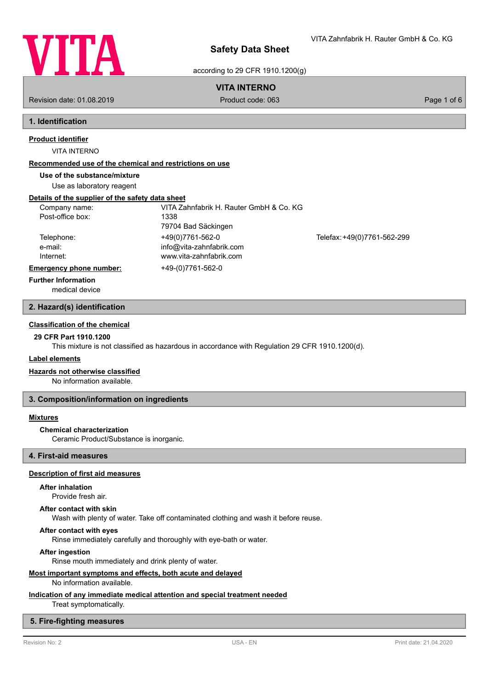

VITA Zahnfabrik H. Rauter GmbH & Co. KG

according to 29 CFR 1910.1200(g)

# **VITA INTERNO**

Revision date: 01.08.2019 Product code: 063 Page 1 of 6

# **1. Identification**

**Product identifier**

VITA INTERNO

### **Recommended use of the chemical and restrictions on use**

**Use of the substance/mixture**

Use as laboratory reagent

# **Details of the supplier of the safety data sheet**

| Company name:                  | VITA Zahnfabrik H. Rauter GmbH & Co. KG |                             |
|--------------------------------|-----------------------------------------|-----------------------------|
| Post-office box:               | 1338                                    |                             |
|                                | 79704 Bad Säckingen                     |                             |
| Telephone:                     | +49(0)7761-562-0                        | Telefax: +49(0)7761-562-299 |
| e-mail:                        | info@vita-zahnfabrik.com                |                             |
| Internet:                      | www.vita-zahnfabrik.com                 |                             |
| <b>Emergency phone number:</b> | +49-(0)7761-562-0                       |                             |
| <b>Further Information</b>     |                                         |                             |

medical device

# **2. Hazard(s) identification**

## **Classification of the chemical**

# **29 CFR Part 1910.1200**

This mixture is not classified as hazardous in accordance with Regulation 29 CFR 1910.1200(d).

### **Label elements**

### **Hazards not otherwise classified**

No information available.

### **3. Composition/information on ingredients**

## **Mixtures**

#### **Chemical characterization**

Ceramic Product/Substance is inorganic.

# **4. First-aid measures**

# **Description of first aid measures**

### **After inhalation**

Provide fresh air.

### **After contact with skin**

Wash with plenty of water. Take off contaminated clothing and wash it before reuse.

### **After contact with eyes**

Rinse immediately carefully and thoroughly with eye-bath or water.

#### **After ingestion**

Rinse mouth immediately and drink plenty of water.

### **Most important symptoms and effects, both acute and delayed**

### No information available.

# **Indication of any immediate medical attention and special treatment needed**

Treat symptomatically.

## **5. Fire-fighting measures**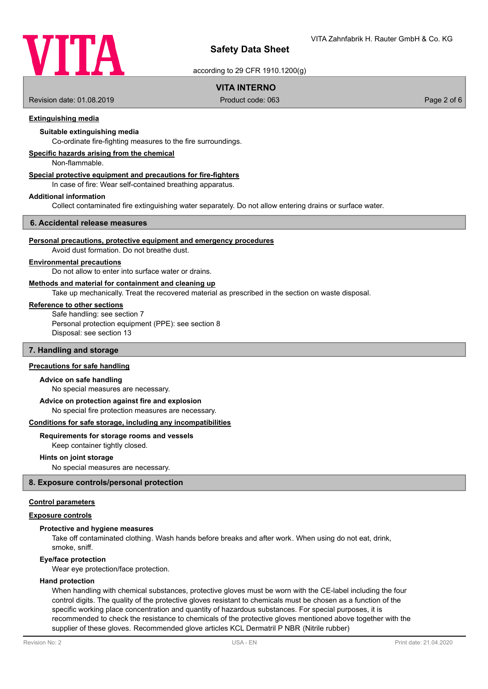

according to 29 CFR 1910.1200(g)

# **VITA INTERNO**

Revision date: 01.08.2019 Product code: 063 Page 2 of 6

# **Extinguishing media**

## **Suitable extinguishing media**

Co-ordinate fire-fighting measures to the fire surroundings.

### **Specific hazards arising from the chemical**

Non-flammable.

# **Special protective equipment and precautions for fire-fighters**

In case of fire: Wear self-contained breathing apparatus.

#### **Additional information**

Collect contaminated fire extinguishing water separately. Do not allow entering drains or surface water.

#### **6. Accidental release measures**

#### **Personal precautions, protective equipment and emergency procedures**

Avoid dust formation. Do not breathe dust.

# **Environmental precautions**

Do not allow to enter into surface water or drains.

### **Methods and material for containment and cleaning up**

Take up mechanically. Treat the recovered material as prescribed in the section on waste disposal.

### **Reference to other sections**

Safe handling: see section 7 Personal protection equipment (PPE): see section 8 Disposal: see section 13

### **7. Handling and storage**

# **Precautions for safe handling**

#### **Advice on safe handling**

No special measures are necessary.

#### **Advice on protection against fire and explosion**

No special fire protection measures are necessary.

#### **Conditions for safe storage, including any incompatibilities**

### **Requirements for storage rooms and vessels**

Keep container tightly closed.

#### **Hints on joint storage**

No special measures are necessary.

### **8. Exposure controls/personal protection**

### **Control parameters**

### **Exposure controls**

### **Protective and hygiene measures**

Take off contaminated clothing. Wash hands before breaks and after work. When using do not eat, drink, smoke, sniff.

#### **Eye/face protection**

Wear eye protection/face protection.

### **Hand protection**

When handling with chemical substances, protective gloves must be worn with the CE-label including the four control digits. The quality of the protective gloves resistant to chemicals must be chosen as a function of the specific working place concentration and quantity of hazardous substances. For special purposes, it is recommended to check the resistance to chemicals of the protective gloves mentioned above together with the supplier of these gloves. Recommended glove articles KCL Dermatril P NBR (Nitrile rubber)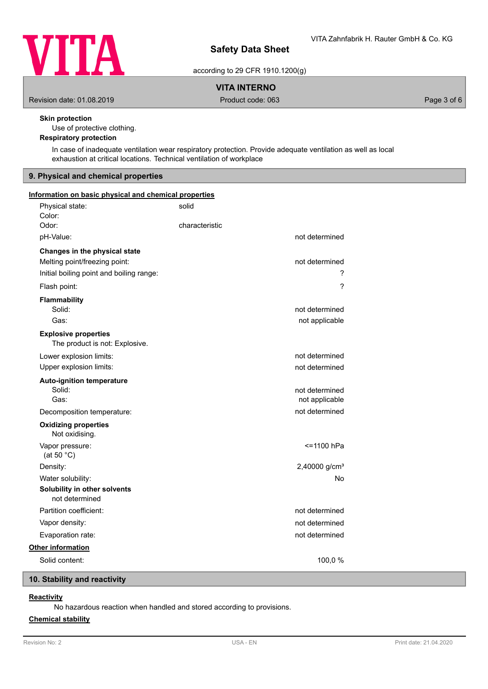

according to 29 CFR 1910.1200(g)

**VITA INTERNO**

Revision date: 01.08.2019 **Product code: 063** Product code: 063 Page 3 of 6

# **Skin protection**

Use of protective clothing.

# **Respiratory protection**

In case of inadequate ventilation wear respiratory protection. Provide adequate ventilation as well as local exhaustion at critical locations. Technical ventilation of workplace

# **9. Physical and chemical properties**

| Information on basic physical and chemical properties         |                           |  |
|---------------------------------------------------------------|---------------------------|--|
| Physical state:                                               | solid                     |  |
| Color:                                                        |                           |  |
| Odor:                                                         | characteristic            |  |
| pH-Value:                                                     | not determined            |  |
| Changes in the physical state                                 |                           |  |
| Melting point/freezing point:                                 | not determined            |  |
| Initial boiling point and boiling range:                      | ?                         |  |
| Flash point:                                                  | $\overline{\phantom{a}}$  |  |
| <b>Flammability</b>                                           |                           |  |
| Solid:                                                        | not determined            |  |
| Gas:                                                          | not applicable            |  |
| <b>Explosive properties</b><br>The product is not: Explosive. |                           |  |
| Lower explosion limits:                                       | not determined            |  |
| Upper explosion limits:                                       | not determined            |  |
| <b>Auto-ignition temperature</b>                              |                           |  |
| Solid:                                                        | not determined            |  |
| Gas:                                                          | not applicable            |  |
| Decomposition temperature:                                    | not determined            |  |
| <b>Oxidizing properties</b><br>Not oxidising.                 |                           |  |
| Vapor pressure:<br>(at 50 $°C$ )                              | <=1100 hPa                |  |
| Density:                                                      | 2,40000 g/cm <sup>3</sup> |  |
| Water solubility:                                             | No                        |  |
| Solubility in other solvents<br>not determined                |                           |  |
| Partition coefficient:                                        | not determined            |  |
| Vapor density:                                                | not determined            |  |
| Evaporation rate:                                             | not determined            |  |
| Other information                                             |                           |  |
| Solid content:                                                | 100,0%                    |  |
|                                                               |                           |  |

# **10. Stability and reactivity**

# **Reactivity**

No hazardous reaction when handled and stored according to provisions.

# **Chemical stability**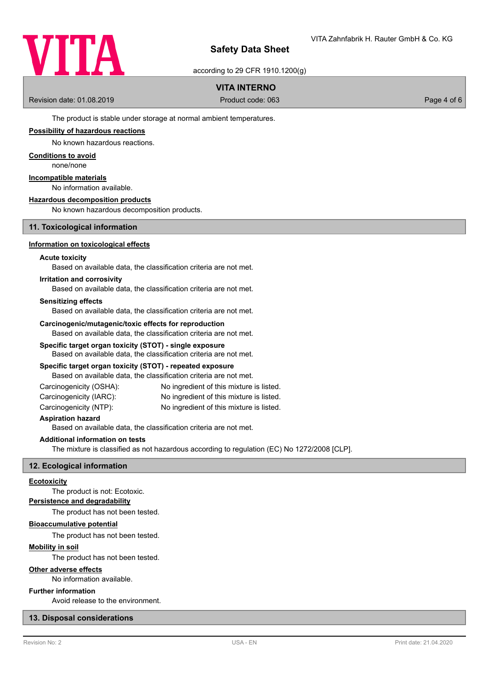

according to 29 CFR 1910.1200(g)

# **VITA INTERNO**

Revision date: 01.08.2019 Product code: 063 Page 4 of 6

The product is stable under storage at normal ambient temperatures.

### **Possibility of hazardous reactions**

No known hazardous reactions.

### **Conditions to avoid**

none/none

# **Incompatible materials**

No information available.

#### **Hazardous decomposition products**

No known hazardous decomposition products.

### **11. Toxicological information**

### **Information on toxicological effects**

### **Acute toxicity**

Based on available data, the classification criteria are not met.

### **Irritation and corrosivity**

Based on available data, the classification criteria are not met.

### **Sensitizing effects**

Based on available data, the classification criteria are not met.

### **Carcinogenic/mutagenic/toxic effects for reproduction**

Based on available data, the classification criteria are not met.

### **Specific target organ toxicity (STOT) - single exposure**

Based on available data, the classification criteria are not met.

### **Specific target organ toxicity (STOT) - repeated exposure**

Based on available data, the classification criteria are not met.

| Carcinogenicity (OSHA): | No ingredient of this mixture is listed. |
|-------------------------|------------------------------------------|
|                         |                                          |

- Carcinogenicity (IARC): No ingredient of this mixture is listed.
- Carcinogenicity (NTP): No ingredient of this mixture is listed.

### **Aspiration hazard**

Based on available data, the classification criteria are not met.

# **Additional information on tests**

The mixture is classified as not hazardous according to regulation (EC) No 1272/2008 [CLP].

### **12. Ecological information**

#### **Ecotoxicity**

The product is not: Ecotoxic.

# **Persistence and degradability**

The product has not been tested.

### **Bioaccumulative potential**

The product has not been tested.

# **Mobility in soil**

The product has not been tested.

### **Other adverse effects**

No information available.

# **Further information**

Avoid release to the environment.

# **13. Disposal considerations**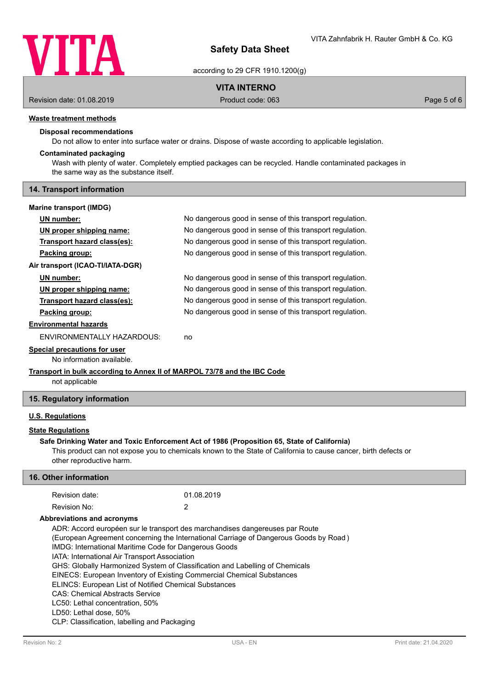

according to 29 CFR 1910.1200(g)

# **VITA INTERNO**

Revision date: 01.08.2019 **Product code: 063** Product code: 063 Page 5 of 6

# **Waste treatment methods**

# **Disposal recommendations**

Do not allow to enter into surface water or drains. Dispose of waste according to applicable legislation.

# **Contaminated packaging**

Wash with plenty of water. Completely emptied packages can be recycled. Handle contaminated packages in the same way as the substance itself.

## **14. Transport information**

| <b>Marine transport (IMDG)</b>                                                             |                                                          |  |  |  |
|--------------------------------------------------------------------------------------------|----------------------------------------------------------|--|--|--|
| UN number:                                                                                 | No dangerous good in sense of this transport regulation. |  |  |  |
| UN proper shipping name:                                                                   | No dangerous good in sense of this transport regulation. |  |  |  |
| Transport hazard class(es):                                                                | No dangerous good in sense of this transport regulation. |  |  |  |
| Packing group:                                                                             | No dangerous good in sense of this transport regulation. |  |  |  |
| Air transport (ICAO-TI/IATA-DGR)                                                           |                                                          |  |  |  |
| UN number:                                                                                 | No dangerous good in sense of this transport regulation. |  |  |  |
| UN proper shipping name:                                                                   | No dangerous good in sense of this transport regulation. |  |  |  |
| Transport hazard class(es):                                                                | No dangerous good in sense of this transport regulation. |  |  |  |
| Packing group:                                                                             | No dangerous good in sense of this transport regulation. |  |  |  |
| <b>Environmental hazards</b>                                                               |                                                          |  |  |  |
| ENVIRONMENTALLY HAZARDOUS:                                                                 | no                                                       |  |  |  |
| Special precautions for user                                                               |                                                          |  |  |  |
| No information available.                                                                  |                                                          |  |  |  |
| Transport in bulk according to Annex II of MARPOL 73/78 and the IBC Code<br>not applicable |                                                          |  |  |  |

### **15. Regulatory information**

# **U.S. Regulations**

# **State Regulations**

## **Safe Drinking Water and Toxic Enforcement Act of 1986 (Proposition 65, State of California)**

This product can not expose you to chemicals known to the State of California to cause cancer, birth defects or other reproductive harm.

| 16. Other information                                                                                                                                                                                                                                                                                                                                                                                                                                                                                                                                                                                                                                           |            |  |  |  |
|-----------------------------------------------------------------------------------------------------------------------------------------------------------------------------------------------------------------------------------------------------------------------------------------------------------------------------------------------------------------------------------------------------------------------------------------------------------------------------------------------------------------------------------------------------------------------------------------------------------------------------------------------------------------|------------|--|--|--|
| Revision date:                                                                                                                                                                                                                                                                                                                                                                                                                                                                                                                                                                                                                                                  | 01.08.2019 |  |  |  |
| Revision No:                                                                                                                                                                                                                                                                                                                                                                                                                                                                                                                                                                                                                                                    | 2          |  |  |  |
| Abbreviations and acronyms                                                                                                                                                                                                                                                                                                                                                                                                                                                                                                                                                                                                                                      |            |  |  |  |
| ADR: Accord européen sur le transport des marchandises dangereuses par Route<br>(European Agreement concerning the International Carriage of Dangerous Goods by Road)<br>IMDG: International Maritime Code for Dangerous Goods<br>IATA: International Air Transport Association<br>GHS: Globally Harmonized System of Classification and Labelling of Chemicals<br>EINECS: European Inventory of Existing Commercial Chemical Substances<br><b>ELINCS: European List of Notified Chemical Substances</b><br><b>CAS: Chemical Abstracts Service</b><br>LC50: Lethal concentration, 50%<br>LD50: Lethal dose, 50%<br>CLP: Classification, labelling and Packaging |            |  |  |  |